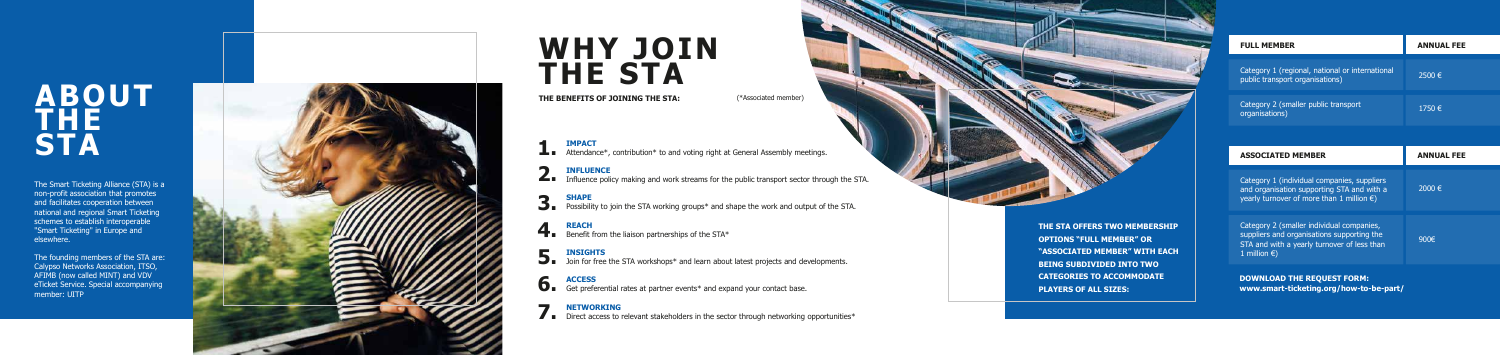### **ABOUT THE STA**

## **WHY JOIN THE STA**

**THE BENEFITS OF JOINING THE STA:** (\*Associated member)

The Smart Ticketing Alliance (STA) is a non-profit association that promotes and facilitates cooperation between national and regional Smart Ticketing schemes to establish interoperable "Smart Ticketing" in Europe and elsewhere.

The founding members of the STA are: Calypso Networks Association, ITSO, AFIMB (now called MINT) and VDV eTicket Service. Special accompanying member: UITP



### **IMPACT**

**1 IMPACT**<br> **1.** Attendance\*, contribution\* to and voting right at General Assembly meetings.

#### **INFLUENCE**

#### **SHAPE**

**3.** SHAPE Possibility to join the STA working groups\* and shape the work and output of the STA.

#### **REACH**

**4.** REACH Benefit from the liaison partnerships of the STA\*

#### **INSIGHTS**

**5.** INSIGHTS Join for free the STA workshops\* and learn about latest projects and developments.

Influence policy making and work streams for the public transport sector through the STA. **2.**

#### **ACCESS**

**6.** ACCESS Get preferential rates at partner events\* and expand your contact base.

#### **NETWORKING**

**7. Direct access to relevant stakeholders in the sector through networking opportunities\*** 

**THE STA OFFERS TWO MEMBERSHIP OPTIONS "FULL MEMBER" OR "ASSOCIATED MEMBER" WITH EACH BEING SUBDIVIDED INTO TWO CATEGORIES TO ACCOMMODATE PLAYERS OF ALL SIZES:** 

**DOWNLOAD THE REQUEST FORM: www.smart-ticketing.org/how-to-be-part/**

| <b>FULL MEMBER</b>                                                                 | <b>ANNUAL FEE</b> |
|------------------------------------------------------------------------------------|-------------------|
| Category 1 (regional, national or international<br>public transport organisations) | 2500 €            |
| Category 2 (smaller public transport<br>organisations)                             | 1750 €            |
|                                                                                    |                   |

| <b>ASSOCIATED MEMBER</b>                                                                                                                                         | <b>ANNUAL FEE</b> |
|------------------------------------------------------------------------------------------------------------------------------------------------------------------|-------------------|
| Category 1 (individual companies, suppliers<br>and organisation supporting STA and with a<br>yearly turnover of more than 1 million $\epsilon$ )                 | 2000 €            |
| Category 2 (smaller individual companies,<br>suppliers and organisations supporting the<br>STA and with a yearly turnover of less than<br>1 million $\epsilon$ ) | $900 \in$         |
|                                                                                                                                                                  |                   |